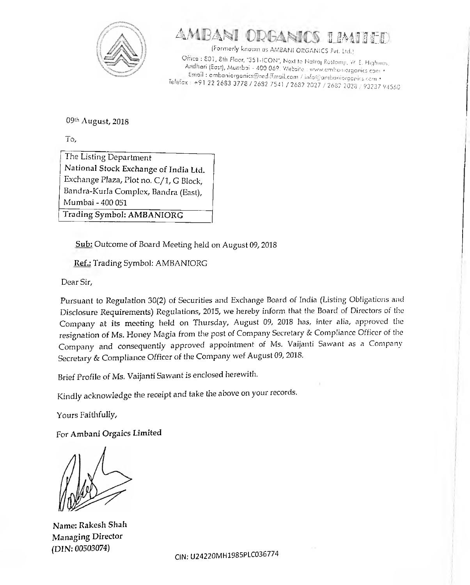

## $\Delta$ *AARANI ODGANICS LIMILED*

**(Formerly known os AMBANI ORGANICS Pvt. Ltd.) Office : 801,8th Floor, ''351-ICON", Next to Notraj Rostomji, W. E. Highway, An eri (East), Mumbai - 400 069. Website : [www.ambamorganics](http://www.ambamorganics) com • \_ , . Email : [ambaniorganics@rediffmail.com](mailto:ambaniorganics@rediffmail.com) / info@ombunioraanirS com • Tele.ax : +91 22 2683 3778 / 2632 7541 / 2682 2027 / 2682 2028 / 93237 94560**

09th August, 2018

To,

The Listing Department National Stock Exchange of India Ltd. Exchange Plaza, Plot no. C/1, G Block, Bandra-Kurla Complex, Bandra (East), Mumbai - 400 051

Trading Symbol: AMBANIORG

Sub: Outcome of Board Meeting held on August 09,2018

Ref.: Trading Symbol: AMBANIORG

Dear Sir,

Pursuant to Regulation 30(2) of Securities and Exchange Board of India (Listing Obligations and Disclosure Requirements) Regulations, 2015, we hereby inform that the Board of Directors of the Company at its meeting held on Thursday, August 09, 2018 has, inter alia, approved the resignation of Ms. Honey Magia from the post of Company Secretary & Compliance Officer of the Company and consequently approved appointment of Ms. Vaijanti Sawant as a Company Secretary & Compliance Officer of the Company wef August 09, 2018.

Brief Profile of Ms. Vaijanti Sawant is enclosed herewith.

Kindly acknowledge the receipt and take the above on your records.

Yours Faithfully,

For Ambani Orgaics Limited

Name: Rakesh Shah Managing Director (DIN: 00503074)

**CIN: U 2 4 2 2 0 M H 1 9 8 5 P L C 0 3 6 7 7 4**